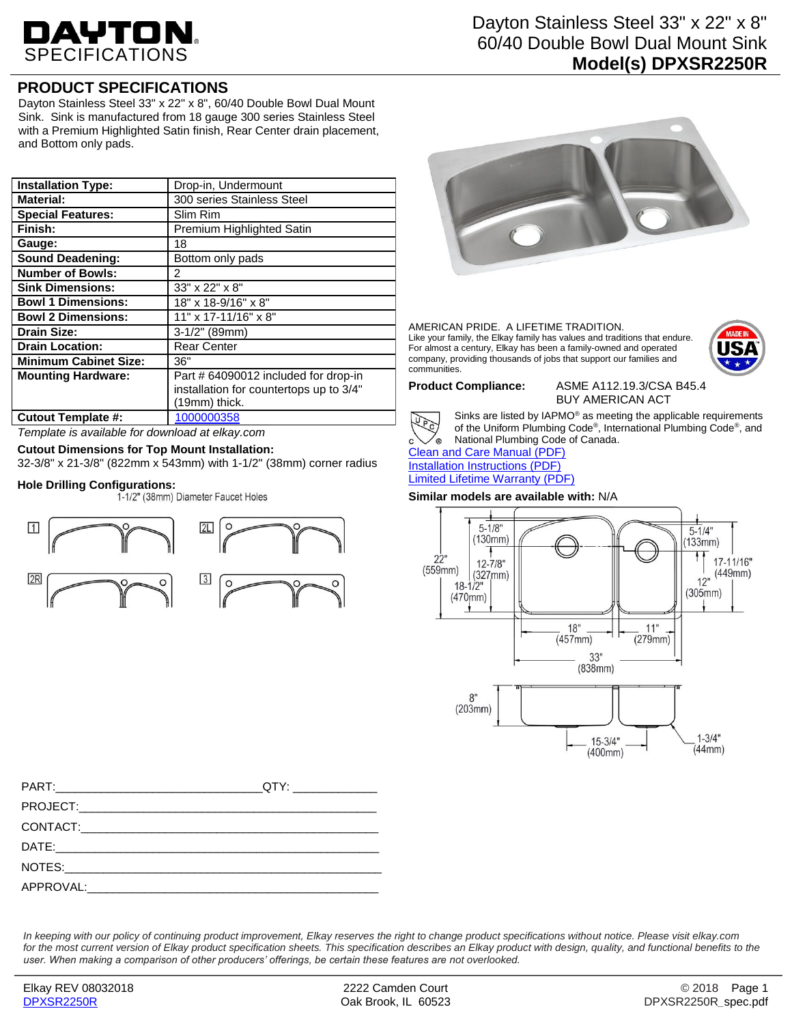# DAYTON.

# **PRODUCT SPECIFICATIONS**

Dayton Stainless Steel 33" x 22" x 8", 60/40 Double Bowl Dual Mount Sink. Sink is manufactured from 18 gauge 300 series Stainless Steel with a Premium Highlighted Satin finish, Rear Center drain placement, and Bottom only pads.

| <b>Installation Type:</b>    | Drop-in, Undermount                     |
|------------------------------|-----------------------------------------|
| <b>Material:</b>             | 300 series Stainless Steel              |
| <b>Special Features:</b>     | Slim Rim                                |
| Finish:                      | Premium Highlighted Satin               |
| Gauge:                       | 18                                      |
| <b>Sound Deadening:</b>      | Bottom only pads                        |
| <b>Number of Bowls:</b>      | 2                                       |
| <b>Sink Dimensions:</b>      | 33" x 22" x 8"                          |
| <b>Bowl 1 Dimensions:</b>    | 18" x 18-9/16" x 8"                     |
| <b>Bowl 2 Dimensions:</b>    | 11" x 17-11/16" x 8"                    |
| <b>Drain Size:</b>           | $3-1/2$ " (89mm)                        |
| <b>Drain Location:</b>       | <b>Rear Center</b>                      |
| <b>Minimum Cabinet Size:</b> | 36"                                     |
| <b>Mounting Hardware:</b>    | Part # 64090012 included for drop-in    |
|                              | installation for countertops up to 3/4" |
|                              | (19mm) thick.                           |
| <b>Cutout Template #:</b>    | 1000000358                              |

*Template is available for download at elkay.com*

## **Cutout Dimensions for Top Mount Installation:**

32-3/8" x 21-3/8" (822mm x 543mm) with 1-1/2" (38mm) corner radius

# **Hole Drilling Configurations:**



Dayton Stainless Steel 33" x 22" x 8" 60/40 Double Bowl Dual Mount Sink **Model(s) DPXSR2250R**



#### AMERICAN PRIDE. A LIFETIME TRADITION. Like your family, the Elkay family has values and traditions that endure. For almost a century, Elkay has been a family-owned and operated company, providing thousands of jobs that support our families and communities.



**Product Compliance:** ASME A112.19.3/CSA B45.4 BUY AMERICAN ACT



Sinks are listed by IAPMO® as meeting the applicable requirements of the Uniform Plumbing Code® , International Plumbing Code® , and National Plumbing Code of Canada.

[Clean and Care Manual \(PDF\)](http://www.elkay.com/wcsstore/lkdocs/care-cleaning-install-warranty-sheets/residential%20and%20commercial%20care%20%20cleaning.pdf) [Installation Instructions \(PDF\)](http://www.elkay.com/wcsstore/lkdocs/care-cleaning-install-warranty-sheets/0000000894.pdf) [Limited Lifetime Warranty](http://www.elkay.com/wcsstore/lkdocs/care-cleaning-install-warranty-sheets/residential%20sinks%20warranty.pdf) (PDF)

### **Similar models are available with:** N/A



*In keeping with our policy of continuing product improvement, Elkay reserves the right to change product specifications without notice. Please visit elkay.com for the most current version of Elkay product specification sheets. This specification describes an Elkay product with design, quality, and functional benefits to the user. When making a comparison of other producers' offerings, be certain these features are not overlooked.*